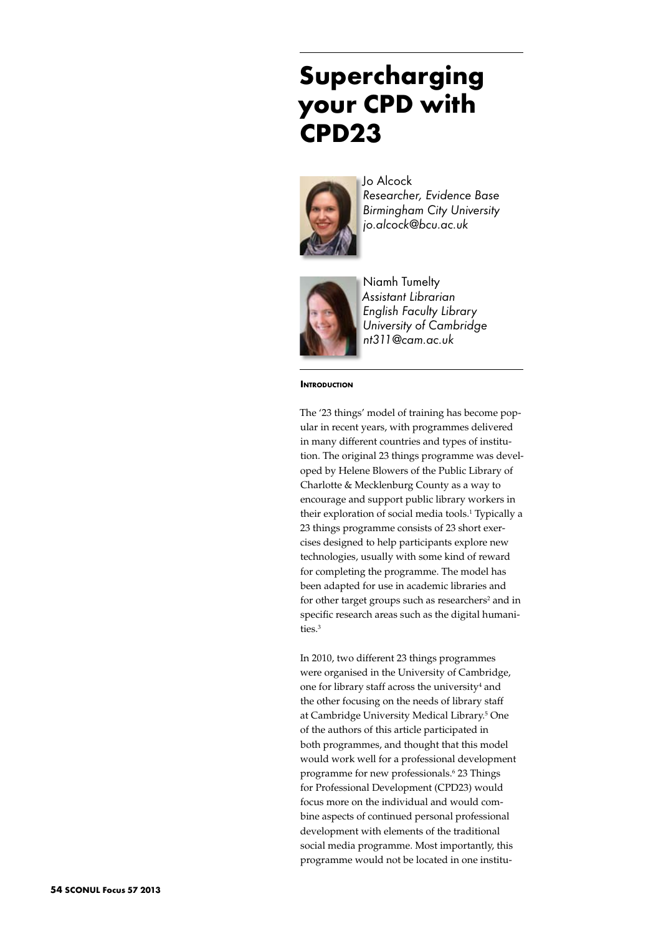# **Supercharging your CPD with CPD23**



Jo Alcock *Researcher, Evidence Base Birmingham City University jo.alcock@bcu.ac.uk* 



Niamh Tumelty *Assistant Librarian English Faculty Library University of Cambridge nt311@cam.ac.uk* 

**INTRODUCTION** 

The '23 things' model of training has become popular in recent years, with programmes delivered in many different countries and types of institution. The original 23 things programme was developed by Helene Blowers of the Public Library of Charlotte & Mecklenburg County as a way to encourage and support public library workers in their exploration of social media tools.<sup>1</sup> Typically a 23 things programme consists of 23 short exercises designed to help participants explore new technologies, usually with some kind of reward for completing the programme. The model has been adapted for use in academic libraries and for other target groups such as researchers<sup>2</sup> and in specific research areas such as the digital humanities.3

In 2010, two different 23 things programmes were organised in the University of Cambridge, one for library staff across the university<sup>4</sup> and the other focusing on the needs of library staff at Cambridge University Medical Library.5 One of the authors of this article participated in both programmes, and thought that this model would work well for a professional development programme for new professionals.6 23 Things for Professional Development (CPD23) would focus more on the individual and would combine aspects of continued personal professional development with elements of the traditional social media programme. Most importantly, this programme would not be located in one institu-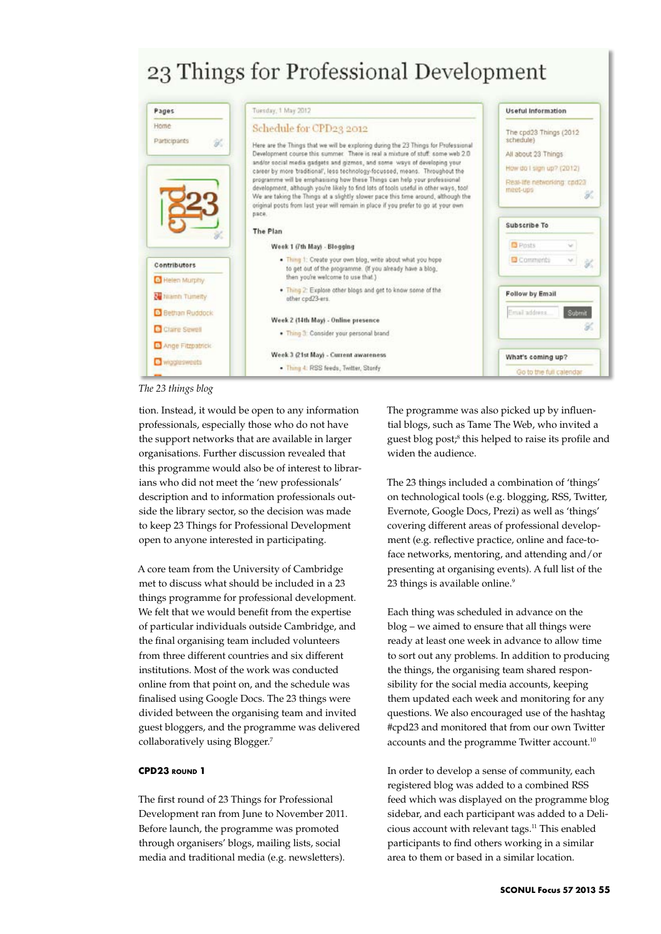# 23 Things for Professional Development



*The 23 things blog*

tion. Instead, it would be open to any information professionals, especially those who do not have the support networks that are available in larger organisations. Further discussion revealed that this programme would also be of interest to librarians who did not meet the 'new professionals' description and to information professionals outside the library sector, so the decision was made to keep 23 Things for Professional Development open to anyone interested in participating.

A core team from the University of Cambridge met to discuss what should be included in a 23 things programme for professional development. We felt that we would benefit from the expertise of particular individuals outside Cambridge, and the final organising team included volunteers from three different countries and six different institutions. Most of the work was conducted online from that point on, and the schedule was finalised using Google Docs. The 23 things were divided between the organising team and invited guest bloggers, and the programme was delivered collaboratively using Blogger.7

### **CPD23 round 1**

The first round of 23 Things for Professional Development ran from June to November 2011. Before launch, the programme was promoted through organisers' blogs, mailing lists, social media and traditional media (e.g. newsletters).

The programme was also picked up by influential blogs, such as Tame The Web, who invited a guest blog post;<sup>8</sup> this helped to raise its profile and widen the audience.

The 23 things included a combination of 'things' on technological tools (e.g. blogging, RSS, Twitter, Evernote, Google Docs, Prezi) as well as 'things' covering different areas of professional development (e.g. reflective practice, online and face-toface networks, mentoring, and attending and/or presenting at organising events). A full list of the 23 things is available online.<sup>9</sup>

Each thing was scheduled in advance on the blog – we aimed to ensure that all things were ready at least one week in advance to allow time to sort out any problems. In addition to producing the things, the organising team shared responsibility for the social media accounts, keeping them updated each week and monitoring for any questions. We also encouraged use of the hashtag #cpd23 and monitored that from our own Twitter accounts and the programme Twitter account.<sup>10</sup>

In order to develop a sense of community, each registered blog was added to a combined RSS feed which was displayed on the programme blog sidebar, and each participant was added to a Delicious account with relevant tags.11 This enabled participants to find others working in a similar area to them or based in a similar location.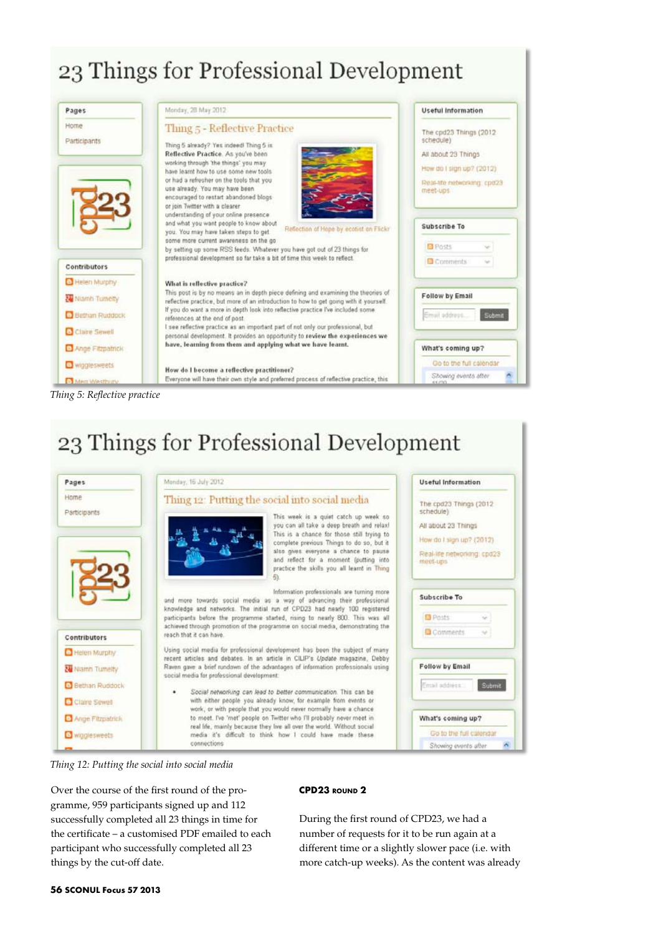# 23 Things for Professional Development



23 Things for Professional Development





Over the course of the first round of the programme, 959 participants signed up and 112 successfully completed all 23 things in time for the certificate – a customised PDF emailed to each participant who successfully completed all 23 things by the cut-off date.

### **CPD23 round 2**

During the first round of CPD23, we had a number of requests for it to be run again at a different time or a slightly slower pace (i.e. with more catch-up weeks). As the content was already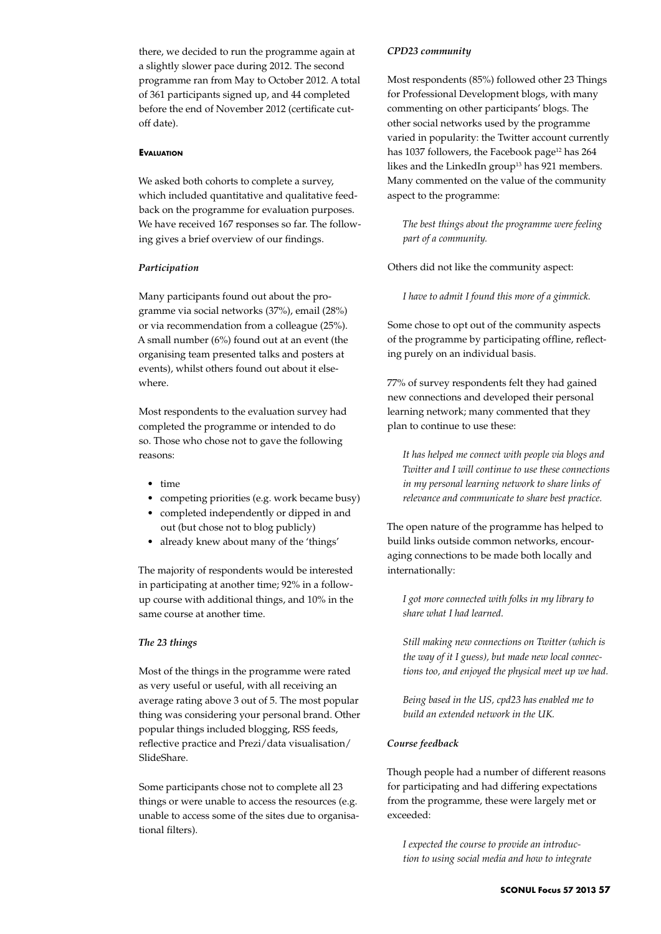there, we decided to run the programme again at a slightly slower pace during 2012. The second programme ran from May to October 2012. A total of 361 participants signed up, and 44 completed before the end of November 2012 (certificate cutoff date).

#### **Evaluation**

We asked both cohorts to complete a survey, which included quantitative and qualitative feedback on the programme for evaluation purposes. We have received 167 responses so far. The following gives a brief overview of our findings.

#### *Participation*

Many participants found out about the programme via social networks (37%), email (28%) or via recommendation from a colleague (25%). A small number (6%) found out at an event (the organising team presented talks and posters at events), whilst others found out about it elsewhere.

Most respondents to the evaluation survey had completed the programme or intended to do so. Those who chose not to gave the following reasons:

- • time
- • competing priorities (e.g. work became busy)
- • completed independently or dipped in and out (but chose not to blog publicly)
- already knew about many of the 'things'

The majority of respondents would be interested in participating at another time; 92% in a followup course with additional things, and 10% in the same course at another time.

### *The 23 things*

Most of the things in the programme were rated as very useful or useful, with all receiving an average rating above 3 out of 5. The most popular thing was considering your personal brand. Other popular things included blogging, RSS feeds, reflective practice and Prezi/data visualisation/ SlideShare.

Some participants chose not to complete all 23 things or were unable to access the resources (e.g. unable to access some of the sites due to organisational filters).

#### *CPD23 community*

Most respondents (85%) followed other 23 Things for Professional Development blogs, with many commenting on other participants' blogs. The other social networks used by the programme varied in popularity: the Twitter account currently has 1037 followers, the Facebook page<sup>12</sup> has 264 likes and the LinkedIn group<sup>13</sup> has 921 members. Many commented on the value of the community aspect to the programme:

*The best things about the programme were feeling part of a community.*

Others did not like the community aspect:

*I have to admit I found this more of a gimmick.*

Some chose to opt out of the community aspects of the programme by participating offline, reflecting purely on an individual basis.

77% of survey respondents felt they had gained new connections and developed their personal learning network; many commented that they plan to continue to use these:

*It has helped me connect with people via blogs and Twitter and I will continue to use these connections in my personal learning network to share links of relevance and communicate to share best practice.*

The open nature of the programme has helped to build links outside common networks, encouraging connections to be made both locally and internationally:

*I got more connected with folks in my library to share what I had learned.*

*Still making new connections on Twitter (which is the way of it I guess), but made new local connections too, and enjoyed the physical meet up we had.*

*Being based in the US, cpd23 has enabled me to build an extended network in the UK.*

#### *Course feedback*

Though people had a number of different reasons for participating and had differing expectations from the programme, these were largely met or exceeded:

*I expected the course to provide an introduction to using social media and how to integrate*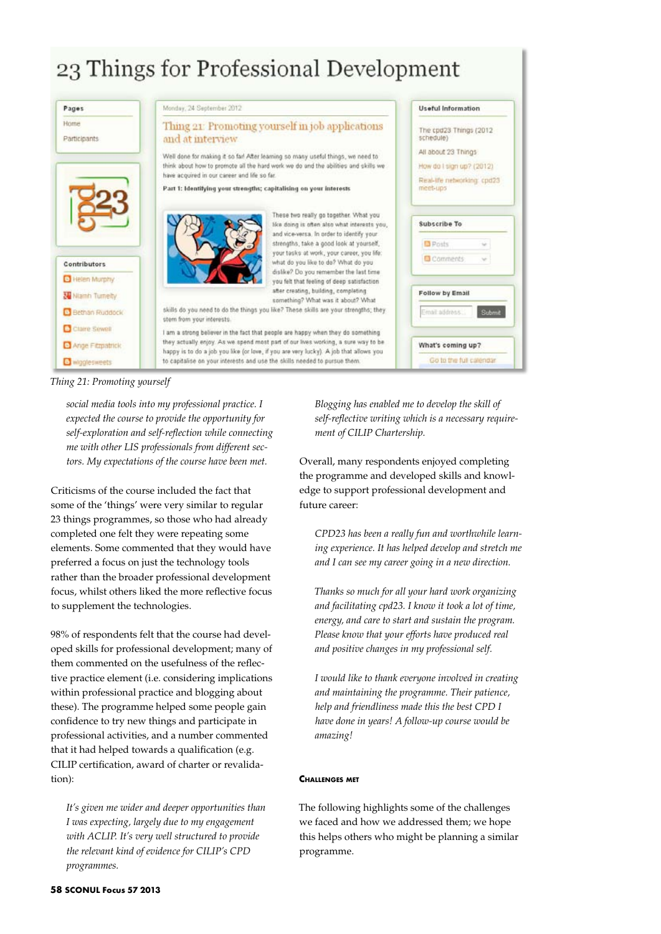# 23 Things for Professional Development

| Pages                                 | Monday, 24 September 2012                                                                                                                                                                                                                                                                    | Useful Information                                                                          |
|---------------------------------------|----------------------------------------------------------------------------------------------------------------------------------------------------------------------------------------------------------------------------------------------------------------------------------------------|---------------------------------------------------------------------------------------------|
| Home<br>Participants                  | Thing 21: Promoting yourself in job applications<br>and at interview                                                                                                                                                                                                                         | The cpd23 Things (2012)<br>schedule)                                                        |
|                                       | Well done for making it so far! After learning so many useful things, we need to<br>think about how to promote all the hard work we do and the abilities and skills we<br>have acquired in our career and life so far.<br>Part 1: Identifying your strengths; capitalising on your interests | All about 23 Things<br>How do I sign up? (2012).<br>Real-life networking: cpd23<br>meet-ups |
|                                       | These two really go together. What you<br>like doing is often also what interests you,<br>and vice-versa. In order to identify your<br>strengths, take a good look at yourself,                                                                                                              | Subscribe To<br><b>D</b> Posts                                                              |
| Contributors<br><b>B</b> Helen Murphy | your tasks at work, your career, you life:<br>what do you like to do? What do you<br>dislike? Do you remember the last time<br>you felt that feeling of deep satisfaction                                                                                                                    | Comments                                                                                    |
| Niamh Tumelty                         | after creating, building, completing<br>something? What was it about? What                                                                                                                                                                                                                   | <b>Follow by Email</b>                                                                      |
| Bethan Ruddock                        | skills do you need to do the things you like? These skills are your strengths; they                                                                                                                                                                                                          | Email address<br>Submit                                                                     |
| Claire Sewell                         | stem from your interests.<br>I am a strong believer in the fact that people are happy when they do something                                                                                                                                                                                 |                                                                                             |
| Ange Fitzpatrick                      | they actually enjoy. As we spend most part of our lives working, a sure way to be<br>happy is to do a job you like (or love, if you are very lucky). A job that allows you                                                                                                                   | What's coming up?                                                                           |
| <b>B</b> winglesweets                 | to capitalise on your interests and use the skills needed to pursue them.                                                                                                                                                                                                                    | Go to the full calendar                                                                     |

*Thing 21: Promoting yourself*

*social media tools into my professional practice. I expected the course to provide the opportunity for self-exploration and self-reflection while connecting me with other LIS professionals from different sectors. My expectations of the course have been met.*

Criticisms of the course included the fact that some of the 'things' were very similar to regular 23 things programmes, so those who had already completed one felt they were repeating some elements. Some commented that they would have preferred a focus on just the technology tools rather than the broader professional development focus, whilst others liked the more reflective focus to supplement the technologies.

98% of respondents felt that the course had developed skills for professional development; many of them commented on the usefulness of the reflective practice element (i.e. considering implications within professional practice and blogging about these). The programme helped some people gain confidence to try new things and participate in professional activities, and a number commented that it had helped towards a qualification (e.g. CILIP certification, award of charter or revalidation):

*It's given me wider and deeper opportunities than I was expecting, largely due to my engagement with ACLIP. It's very well structured to provide the relevant kind of evidence for CILIP's CPD programmes.*

*Blogging has enabled me to develop the skill of self-reflective writing which is a necessary requirement of CILIP Chartership.*

Overall, many respondents enjoyed completing the programme and developed skills and knowledge to support professional development and future career:

*CPD23 has been a really fun and worthwhile learning experience. It has helped develop and stretch me and I can see my career going in a new direction.*

*Thanks so much for all your hard work organizing and facilitating cpd23. I know it took a lot of time, energy, and care to start and sustain the program. Please know that your efforts have produced real and positive changes in my professional self.*

*I would like to thank everyone involved in creating and maintaining the programme. Their patience, help and friendliness made this the best CPD I have done in years! A follow-up course would be amazing!*

## **Challenges met**

The following highlights some of the challenges we faced and how we addressed them; we hope this helps others who might be planning a similar programme.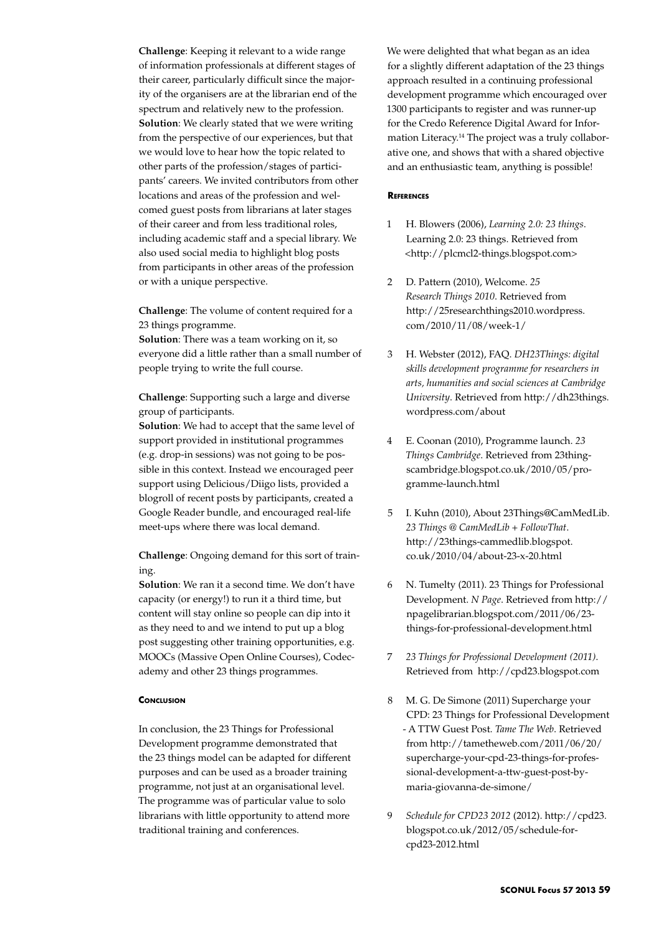**Challenge**: Keeping it relevant to a wide range of information professionals at different stages of their career, particularly difficult since the majority of the organisers are at the librarian end of the spectrum and relatively new to the profession. **Solution**: We clearly stated that we were writing from the perspective of our experiences, but that we would love to hear how the topic related to other parts of the profession/stages of participants' careers. We invited contributors from other locations and areas of the profession and welcomed guest posts from librarians at later stages of their career and from less traditional roles, including academic staff and a special library. We also used social media to highlight blog posts from participants in other areas of the profession or with a unique perspective.

**Challenge**: The volume of content required for a 23 things programme.

**Solution**: There was a team working on it, so everyone did a little rather than a small number of people trying to write the full course.

**Challenge**: Supporting such a large and diverse group of participants.

**Solution**: We had to accept that the same level of support provided in institutional programmes (e.g. drop-in sessions) was not going to be possible in this context. Instead we encouraged peer support using Delicious/Diigo lists, provided a blogroll of recent posts by participants, created a Google Reader bundle, and encouraged real-life meet-ups where there was local demand.

**Challenge**: Ongoing demand for this sort of training.

**Solution**: We ran it a second time. We don't have capacity (or energy!) to run it a third time, but content will stay online so people can dip into it as they need to and we intend to put up a blog post suggesting other training opportunities, e.g. MOOCs (Massive Open Online Courses), Codecademy and other 23 things programmes.

### **CONCLUSION**

In conclusion, the 23 Things for Professional Development programme demonstrated that the 23 things model can be adapted for different purposes and can be used as a broader training programme, not just at an organisational level. The programme was of particular value to solo librarians with little opportunity to attend more traditional training and conferences.

We were delighted that what began as an idea for a slightly different adaptation of the 23 things approach resulted in a continuing professional development programme which encouraged over 1300 participants to register and was runner-up for the Credo Reference Digital Award for Information Literacy.14 The project was a truly collaborative one, and shows that with a shared objective and an enthusiastic team, anything is possible!

#### **References**

- 1 H. Blowers (2006), *Learning 2.0: 23 things*. Learning 2.0: 23 things. Retrieved from <http://plcmcl2-things.blogspot.com>
- 2 D. Pattern (2010), Welcome. *25 Research Things 2010*. Retrieved from http://25researchthings2010.wordpress. com/2010/11/08/week-1/
- 3 H. Webster (2012), FAQ. *DH23Things: digital skills development programme for researchers in arts, humanities and social sciences at Cambridge University*. Retrieved from http://dh23things. wordpress.com/about
- 4 E. Coonan (2010), Programme launch. *23 Things Cambridge*. Retrieved from 23thingscambridge.blogspot.co.uk/2010/05/programme-launch.html
- 5 I. Kuhn (2010), About 23Things@CamMedLib. *23 Things @ CamMedLib + FollowThat*. http://23things-cammedlib.blogspot. co.uk/2010/04/about-23-x-20.html
- 6 N. Tumelty (2011). 23 Things for Professional Development. *N Page*. Retrieved from http:// npagelibrarian.blogspot.com/2011/06/23 things-for-professional-development.html
- 7 *23 Things for Professional Development (2011)*. Retrieved from http://cpd23.blogspot.com
- 8 M. G. De Simone (2011) Supercharge your CPD: 23 Things for Professional Development - A TTW Guest Post. *Tame The Web*. Retrieved from http://tametheweb.com/2011/06/20/ supercharge-your-cpd-23-things-for-professional-development-a-ttw-guest-post-bymaria-giovanna-de-simone/
- 9 *Schedule for CPD23 2012* (2012). http://cpd23. blogspot.co.uk/2012/05/schedule-forcpd23-2012.html